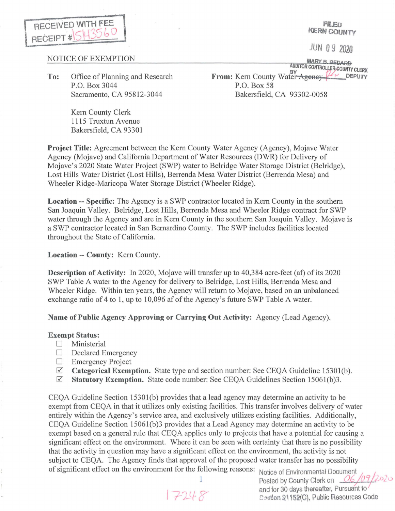

**FILED KERN COUNTY** 

JUN O 9 2020

## NOTICE OF EXEMPTION

**To:** Office of Planning and Research P.O. Box 3044 Sacramento, CA 95812-3044

> Kem County Clerk 1115 Truxtun Avenue Bakersfield, CA 93301

**MARY B. BEDARD**<br>AUDITOR CONTROLLER, COUNTY CLERK **AUDIT CLERK CONTROVERSY FROM: CLERK CONTROVERS CLERK CLERK CLERK CLERK CLERK CLERK CLERK CLERK CLERK CLERK CLERK CLERK CLERK CLERK CLERK CLERK CLERK CLERK CLERK CLERK CLERK** P.O. Box 58 Bakersfield, CA 93302-0058

**Project Title:** Agreement between the Kem County Water Agency (Agency), Mojave Water Agency (Mojave) and California Department of Water Resources (DWR) for Delivery of Mojave's 2020 State Water Project (SWP) water to Belridge Water Storage District (Belridge), Lost Hills Water District (Lost Hills), Berrenda Mesa Water District (Berrenda Mesa) and Wheeler Ridge-Maricopa Water Storage District (Wheeler Ridge).

**Location** -- **Specific:** The Agency is a SWP contractor located in Kem County in the southern San Joaquin Valley. Belridge, Lost Hills, Berrenda Mesa and Wheeler Ridge contract for SWP water through the Agency and are in Kern County in the southern San Joaquin Valley. Mojave is a SWP contractor located in San Bernardino County. The SWP includes facilities located throughout the State of California.

**Location** -- **County:** Kem County.

**Description of Activity:** In 2020, Mojave will transfer up to 40,384 acre-feet (af) of its 2020 SWP Table A water to the Agency for delivery to Belridge, Lost Hills, Berrenda Mesa and Wheeler Ridge. Within ten years, the Agency will return to Mojave, based on an unbalanced exchange ratio of 4 to 1, up to 10,096 af of the Agency's future SWP Table A water.

**Name of Public Agency Approving or Carrying Out Activity:** Agency (Lead Agency).

## **Exempt Status:**

- D Ministerial
- $\Box$  Declared Emergency
- $\Box$  Emergency Project
- 0 **Categorical Exemption.** State type and section number: See CEQA Guideline 15301(b).
- 0 **Statutory Exemption.** State code number: See CEQA Guidelines Section 15061(b)3.

CEQA Guideline Section 15301(b) provides that a lead agency may determine an activity to be exempt from CEQA in that it utilizes only existing facilities. This transfer involves delivery of water entirely within the Agency's service area, and exclusively utilizes existing facilities. Additionally, CEQA Guideline Section 15061(b)3 provides that a Lead Agency may determine an activity to be exempt based on a general rule that CEQA applies only to projects that have a potential for causing a significant effect on the environment. Where it can be seen with certainty that there is no possibility that the activity in question may have a significant effect on the environment, the activity is not subject to CEQA. The Agency finds that approval of the proposed water transfer has no possibility of significant effect on the environment for the following reasons: Notice of Environmental Document

Posted by County Clerk on  $O6/07/202$ and for 30 days thereafter, Pursuant to  $17248$  and for 30 days mercanor, a model to  $\sim$